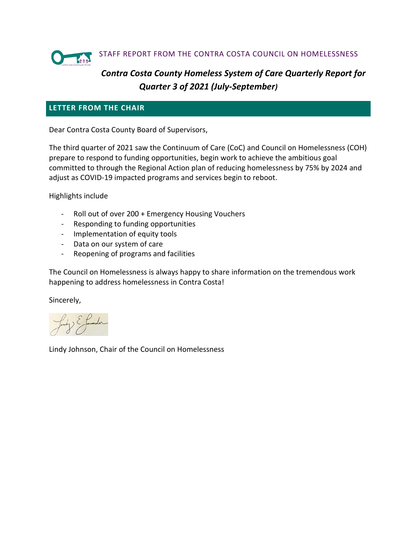

# *Contra Costa County Homeless System of Care Quarterly Report for Quarter 3 of 2021 (July-September)*

### **LETTER FROM THE CHAIR**

Dear Contra Costa County Board of Supervisors,

The third quarter of 2021 saw the Continuum of Care (CoC) and Council on Homelessness (COH) prepare to respond to funding opportunities, begin work to achieve the ambitious goal committed to through the Regional Action plan of reducing homelessness by 75% by 2024 and adjust as COVID-19 impacted programs and services begin to reboot.

Highlights include

- Roll out of over 200 + Emergency Housing Vouchers
- Responding to funding opportunities
- Implementation of equity tools
- Data on our system of care
- Reopening of programs and facilities

The Council on Homelessness is always happy to share information on the tremendous work happening to address homelessness in Contra Costa!

Sincerely,

Lindy Johnson, Chair of the Council on Homelessness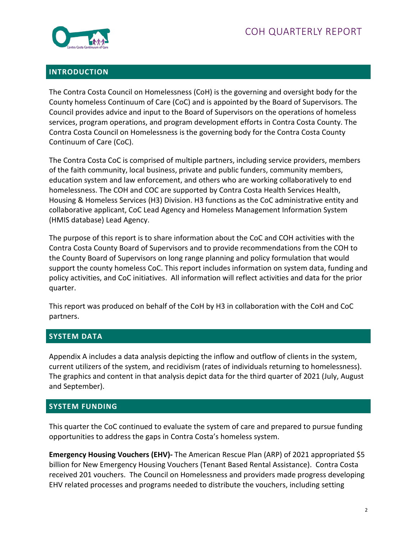

### **INTRODUCTION**

The Contra Costa Council on Homelessness (CoH) is the governing and oversight body for the County homeless Continuum of Care (CoC) and is appointed by the Board of Supervisors. The Council provides advice and input to the Board of Supervisors on the operations of homeless services, program operations, and program development efforts in Contra Costa County. The Contra Costa Council on Homelessness is the governing body for the Contra Costa County Continuum of Care (CoC).

The Contra Costa CoC is comprised of multiple partners, including service providers, members of the faith community, local business, private and public funders, community members, education system and law enforcement, and others who are working collaboratively to end homelessness. The COH and COC are supported by Contra Costa Health Services Health, Housing & Homeless Services (H3) Division. H3 functions as the CoC administrative entity and collaborative applicant, CoC Lead Agency and Homeless Management Information System (HMIS database) Lead Agency.

The purpose of this report is to share information about the CoC and COH activities with the Contra Costa County Board of Supervisors and to provide recommendations from the COH to the County Board of Supervisors on long range planning and policy formulation that would support the county homeless CoC. This report includes information on system data, funding and policy activities, and CoC initiatives. All information will reflect activities and data for the prior quarter.

This report was produced on behalf of the CoH by H3 in collaboration with the CoH and CoC partners.

# **SYSTEM DATA**

Appendix A includes a data analysis depicting the inflow and outflow of clients in the system, current utilizers of the system, and recidivism (rates of individuals returning to homelessness). The graphics and content in that analysis depict data for the third quarter of 2021 (July, August and September).

#### **SYSTEM FUNDING**

This quarter the CoC continued to evaluate the system of care and prepared to pursue funding opportunities to address the gaps in Contra Costa's homeless system.

**Emergency Housing Vouchers (EHV)-** The American Rescue Plan (ARP) of 2021 appropriated \$5 billion for New Emergency Housing Vouchers (Tenant Based Rental Assistance). Contra Costa received 201 vouchers. The Council on Homelessness and providers made progress developing EHV related processes and programs needed to distribute the vouchers, including setting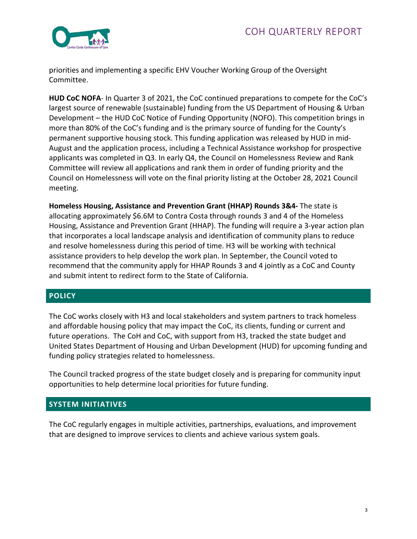

priorities and implementing a specific EHV Voucher Working Group of the Oversight Committee.

**HUD CoC NOFA**- In Quarter 3 of 2021, the CoC continued preparations to compete for the CoC's largest source of renewable (sustainable) funding from the US Department of Housing & Urban Development – the HUD CoC Notice of Funding Opportunity (NOFO). This competition brings in more than 80% of the CoC's funding and is the primary source of funding for the County's permanent supportive housing stock. This funding application was released by HUD in mid-August and the application process, including a Technical Assistance workshop for prospective applicants was completed in Q3. In early Q4, the Council on Homelessness Review and Rank Committee will review all applications and rank them in order of funding priority and the Council on Homelessness will vote on the final priority listing at the October 28, 2021 Council meeting.

**Homeless Housing, Assistance and Prevention Grant (HHAP) Rounds 3&4-** The state is allocating approximately \$6.6M to Contra Costa through rounds 3 and 4 of the Homeless Housing, Assistance and Prevention Grant (HHAP). The funding will require a 3-year action plan that incorporates a local landscape analysis and identification of community plans to reduce and resolve homelessness during this period of time. H3 will be working with technical assistance providers to help develop the work plan. In September, the Council voted to recommend that the community apply for HHAP Rounds 3 and 4 jointly as a CoC and County and submit intent to redirect form to the State of California.

# **POLICY**

The CoC works closely with H3 and local stakeholders and system partners to track homeless and affordable housing policy that may impact the CoC, its clients, funding or current and future operations. The CoH and CoC, with support from H3, tracked the state budget and United States Department of Housing and Urban Development (HUD) for upcoming funding and funding policy strategies related to homelessness.

The Council tracked progress of the state budget closely and is preparing for community input opportunities to help determine local priorities for future funding.

# **SYSTEM INITIATIVES**

The CoC regularly engages in multiple activities, partnerships, evaluations, and improvement that are designed to improve services to clients and achieve various system goals.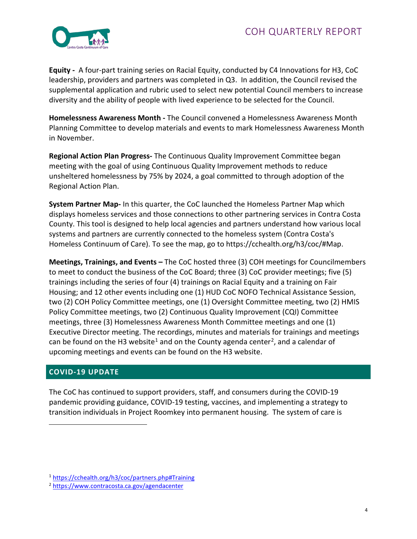

**Equity -** A four-part training series on Racial Equity, conducted by C4 Innovations for H3, CoC leadership, providers and partners was completed in Q3. In addition, the Council revised the supplemental application and rubric used to select new potential Council members to increase diversity and the ability of people with lived experience to be selected for the Council.

**Homelessness Awareness Month -** The Council convened a Homelessness Awareness Month Planning Committee to develop materials and events to mark Homelessness Awareness Month in November.

**Regional Action Plan Progress-** The Continuous Quality Improvement Committee began meeting with the goal of using Continuous Quality Improvement methods to reduce unsheltered homelessness by 75% by 2024, a goal committed to through adoption of the Regional Action Plan.

**System Partner Map-** In this quarter, the CoC launched the Homeless Partner Map which displays homeless services and those connections to other partnering services in Contra Costa County. This tool is designed to help local agencies and partners understand how various local systems and partners are currently connected to the homeless system (Contra Costa's Homeless Continuum of Care). To see the map, go to https://cchealth.org/h3/coc/#Map.

**Meetings, Trainings, and Events –** The CoC hosted three (3) COH meetings for Councilmembers to meet to conduct the business of the CoC Board; three (3) CoC provider meetings; five (5) trainings including the series of four (4) trainings on Racial Equity and a training on Fair Housing; and 12 other events including one (1) HUD CoC NOFO Technical Assistance Session, two (2) COH Policy Committee meetings, one (1) Oversight Committee meeting, two (2) HMIS Policy Committee meetings, two (2) Continuous Quality Improvement (CQI) Committee meetings, three (3) Homelessness Awareness Month Committee meetings and one (1) Executive Director meeting. The recordings, minutes and materials for trainings and meetings can be found on the H3 website<sup>[1](#page-3-0)</sup> and on the County agenda center<sup>[2](#page-3-1)</sup>, and a calendar of upcoming meetings and events can be found on the H3 website.

# **COVID-19 UPDATE**

The CoC has continued to support providers, staff, and consumers during the COVID-19 pandemic providing guidance, COVID-19 testing, vaccines, and implementing a strategy to transition individuals in Project Roomkey into permanent housing. The system of care is

<span id="page-3-0"></span><sup>1</sup> <https://cchealth.org/h3/coc/partners.php#Training>

<span id="page-3-1"></span><sup>2</sup> <https://www.contracosta.ca.gov/agendacenter>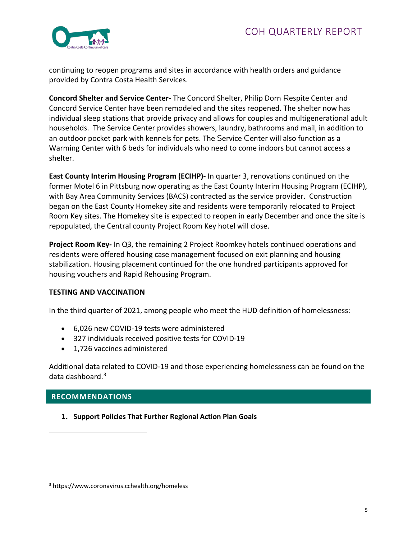

continuing to reopen programs and sites in accordance with health orders and guidance provided by Contra Costa Health Services.

**Concord Shelter and Service Center-** The Concord Shelter, Philip Dorn Respite Center and Concord Service Center have been remodeled and the sites reopened. The shelter now has individual sleep stations that provide privacy and allows for couples and multigenerational adult households. The Service Center provides showers, laundry, bathrooms and mail, in addition to an outdoor pocket park with kennels for pets. The Service Center will also function as a Warming Center with 6 beds for individuals who need to come indoors but cannot access a shelter.

**East County Interim Housing Program (ECIHP)-** In quarter 3, renovations continued on the former Motel 6 in Pittsburg now operating as the East County Interim Housing Program (ECIHP), with Bay Area Community Services (BACS) contracted as the service provider. Construction began on the East County Homekey site and residents were temporarily relocated to Project Room Key sites. The Homekey site is expected to reopen in early December and once the site is repopulated, the Central county Project Room Key hotel will close.

**Project Room Key-** In Q3, the remaining 2 Project Roomkey hotels continued operations and residents were offered housing case management focused on exit planning and housing stabilization. Housing placement continued for the one hundred participants approved for housing vouchers and Rapid Rehousing Program.

#### **TESTING AND VACCINATION**

In the third quarter of 2021, among people who meet the HUD definition of homelessness:

- 6,026 new COVID-19 tests were administered
- 327 individuals received positive tests for COVID-19
- 1,726 vaccines administered

Additional data related to COVID-19 and those experiencing homelessness can be found on the data dashboard.[3](#page-4-0)

# **RECOMMENDATIONS**

**1. Support Policies That Further Regional Action Plan Goals**

<span id="page-4-0"></span><sup>3</sup> https://www.coronavirus.cchealth.org/homeless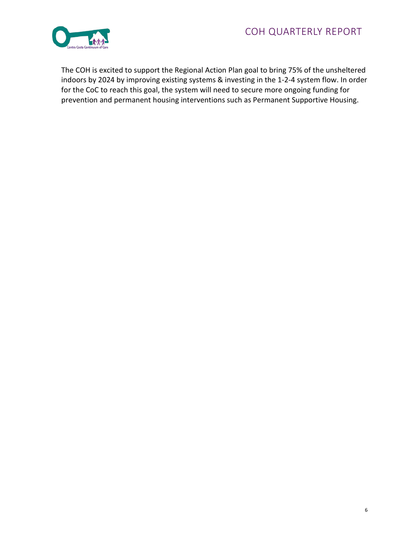

The COH is excited to support the Regional Action Plan goal to bring 75% of the unsheltered indoors by 2024 by improving existing systems & investing in the 1-2-4 system flow. In order for the CoC to reach this goal, the system will need to secure more ongoing funding for prevention and permanent housing interventions such as Permanent Supportive Housing.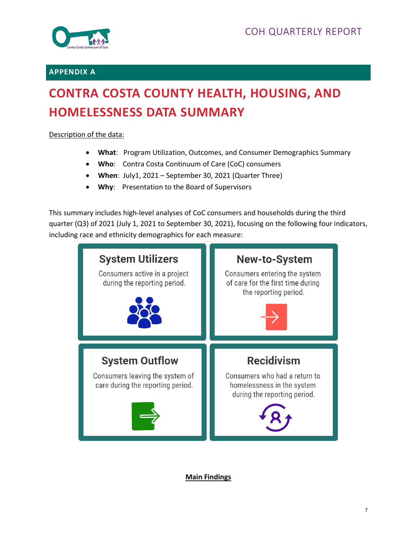

### **APPENDIX A**

# **CONTRA COSTA COUNTY HEALTH, HOUSING, AND HOMELESSNESS DATA SUMMARY**

### Description of the data:

- **What**: Program Utilization, Outcomes, and Consumer Demographics Summary
- **Who**: Contra Costa Continuum of Care (CoC) consumers
- **When**: July1, 2021 September 30, 2021 (Quarter Three)
- **Why**: Presentation to the Board of Supervisors

This summary includes high-level analyses of CoC consumers and households during the third quarter (Q3) of 2021 (July 1, 2021 to September 30, 2021), focusing on the following four indicators, including race and ethnicity demographics for each measure:



**Main Findings**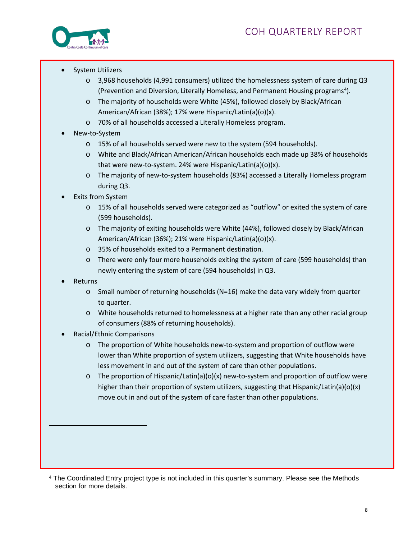

- System Utilizers
	- $\circ$  3,968 households (4,991 consumers) utilized the homelessness system of care during Q3 (Prevention and Diversion, Literally Homeless, and Permanent Housing programs<sup>[4](#page-7-0)</sup>).
	- o The majority of households were White (45%), followed closely by Black/African American/African (38%); 17% were Hispanic/Latin(a)(o)(x).
	- o 70% of all households accessed a Literally Homeless program.
- New-to-System
	- o 15% of all households served were new to the system (594 households).
	- o White and Black/African American/African households each made up 38% of households that were new-to-system. 24% were Hispanic/Latin(a)(o)(x).
	- o The majority of new-to-system households (83%) accessed a Literally Homeless program during Q3.
- **Exits from System** 
	- o 15% of all households served were categorized as "outflow" or exited the system of care (599 households).
	- o The majority of exiting households were White (44%), followed closely by Black/African American/African (36%); 21% were Hispanic/Latin(a)(o)(x).
	- o 35% of households exited to a Permanent destination.
	- o There were only four more households exiting the system of care (599 households) than newly entering the system of care (594 households) in Q3.
- Returns
	- o Small number of returning households (N=16) make the data vary widely from quarter to quarter.
	- o White households returned to homelessness at a higher rate than any other racial group of consumers (88% of returning households).
- Racial/Ethnic Comparisons
	- o The proportion of White households new-to-system and proportion of outflow were lower than White proportion of system utilizers, suggesting that White households have less movement in and out of the system of care than other populations.
	- $\circ$  The proportion of Hispanic/Latin(a)(o)(x) new-to-system and proportion of outflow were higher than their proportion of system utilizers, suggesting that Hispanic/Latin(a)(o)(x) move out in and out of the system of care faster than other populations.

<span id="page-7-0"></span><sup>4</sup> The Coordinated Entry project type is not included in this quarter's summary. Please see the Methods section for more details.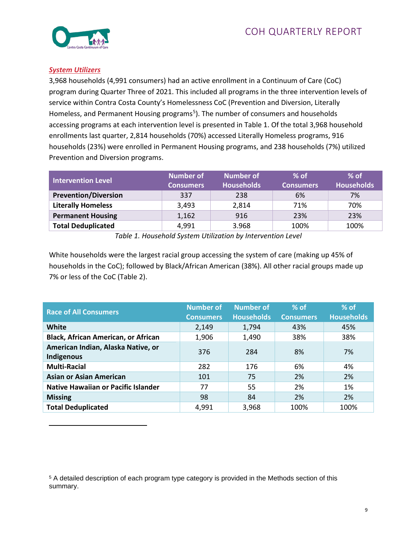

#### *System Utilizers*

3,968 households (4,991 consumers) had an active enrollment in a Continuum of Care (CoC) program during Quarter Three of 2021. This included all programs in the three intervention levels of service within Contra Costa County's Homelessness CoC (Prevention and Diversion, Literally Homeless, and Permanent Housing programs<sup>5</sup>). The number of consumers and households accessing programs at each intervention level is presented in Table 1. Of the total 3,968 household enrollments last quarter, 2,814 households (70%) accessed Literally Homeless programs, 916 households (23%) were enrolled in Permanent Housing programs, and 238 households (7%) utilized Prevention and Diversion programs.

| <b>Intervention Level</b>   | Number of<br><b>Consumers</b> | <b>Number of</b><br><b>Households</b> | $%$ of<br><b>Consumers</b> | $%$ of<br><b>Households</b> |
|-----------------------------|-------------------------------|---------------------------------------|----------------------------|-----------------------------|
| <b>Prevention/Diversion</b> | 337                           | 238                                   | 6%                         | 7%                          |
| <b>Literally Homeless</b>   | 3,493                         | 2,814                                 | 71%                        | 70%                         |
| <b>Permanent Housing</b>    | 1,162                         | 916                                   | 23%                        | 23%                         |
| <b>Total Deduplicated</b>   | 4,991                         | 3.968                                 | 100%                       | 100%                        |

*Table 1. Household System Utilization by Intervention Level*

White households were the largest racial group accessing the system of care (making up 45% of households in the CoC); followed by Black/African American (38%). All other racial groups made up 7% or less of the CoC (Table 2).

| <b>Race of All Consumers</b>               | <b>Number of</b> | <b>Number of</b>  | $%$ of           | $%$ of            |
|--------------------------------------------|------------------|-------------------|------------------|-------------------|
|                                            | <b>Consumers</b> | <b>Households</b> | <b>Consumers</b> | <b>Households</b> |
| <b>White</b>                               | 2,149            | 1,794             | 43%              | 45%               |
| <b>Black, African American, or African</b> | 1,906            | 1,490             | 38%              | 38%               |
| American Indian, Alaska Native, or         | 376              | 284               | 8%               | 7%                |
| Indigenous                                 |                  |                   |                  |                   |
| <b>Multi-Racial</b>                        | 282              | 176               | 6%               | 4%                |
| <b>Asian or Asian American</b>             | 101              | 75                | 2%               | 2%                |
| <b>Native Hawaiian or Pacific Islander</b> | 77               | 55                | 2%               | 1%                |
| <b>Missing</b>                             | 98               | 84                | 2%               | 2%                |
| <b>Total Deduplicated</b>                  | 4,991            | 3,968             | 100%             | 100%              |

<span id="page-8-0"></span><sup>5</sup> A detailed description of each program type category is provided in the Methods section of this summary.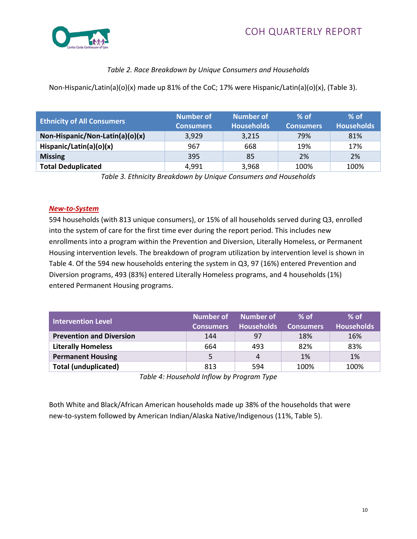

# *Table 2. Race Breakdown by Unique Consumers and Households*

Non-Hispanic/Latin(a)(o)(x) made up 81% of the CoC; 17% were Hispanic/Latin(a)(o)(x), (Table 3).

| <b>Ethnicity of All Consumers</b> | <b>Number of</b><br><b>Consumers</b> | <b>Number of</b><br><b>Households</b> | $%$ of<br><b>Consumers</b> | $%$ of<br><b>Households</b> |
|-----------------------------------|--------------------------------------|---------------------------------------|----------------------------|-----------------------------|
| Non-Hispanic/Non-Latin(a)(o)(x)   | 3,929                                | 3,215                                 | 79%                        | 81%                         |
| Hispanic/Latin(a)(o)(x)           | 967                                  | 668                                   | 19%                        | 17%                         |
| <b>Missing</b>                    | 395                                  | 85                                    | 2%                         | 2%                          |
| <b>Total Deduplicated</b>         | 4,991                                | 3,968                                 | 100%                       | 100%                        |

*Table 3. Ethnicity Breakdown by Unique Consumers and Households*

#### *New-to-System*

594 households (with 813 unique consumers), or 15% of all households served during Q3, enrolled into the system of care for the first time ever during the report period. This includes new enrollments into a program within the Prevention and Diversion, Literally Homeless, or Permanent Housing intervention levels. The breakdown of program utilization by intervention level is shown in Table 4. Of the 594 new households entering the system in Q3, 97 (16%) entered Prevention and Diversion programs, 493 (83%) entered Literally Homeless programs, and 4 households (1%) entered Permanent Housing programs.

| <b>Intervention Level</b>       | <b>Consumers</b> | Number of Number of<br><b>Households</b> | $%$ of<br><b>Consumers</b> | $%$ of<br><b>Households</b> |
|---------------------------------|------------------|------------------------------------------|----------------------------|-----------------------------|
| <b>Prevention and Diversion</b> | 144              | 97                                       | 18%                        | 16%                         |
| <b>Literally Homeless</b>       | 664              | 493                                      | 82%                        | 83%                         |
| <b>Permanent Housing</b>        | 5                | 4                                        | 1%                         | 1%                          |
| <b>Total (unduplicated)</b>     | 813              | 594                                      | 100%                       | 100%                        |

*Table 4: Household Inflow by Program Type*

Both White and Black/African American households made up 38% of the households that were new-to-system followed by American Indian/Alaska Native/Indigenous (11%, Table 5).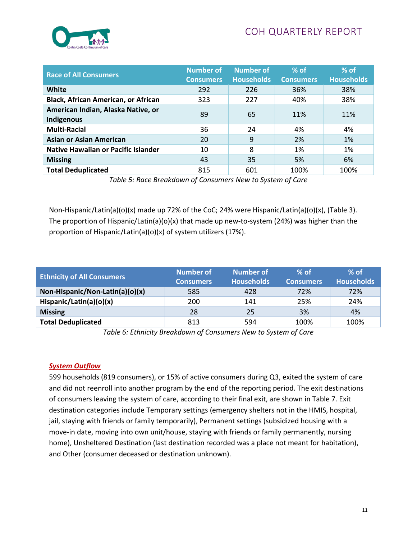

| <b>Race of All Consumers</b>                     | <b>Number of</b><br><b>Consumers</b> | <b>Number of</b><br><b>Households</b> | $%$ of<br><b>Consumers</b> | $%$ of<br><b>Households</b> |
|--------------------------------------------------|--------------------------------------|---------------------------------------|----------------------------|-----------------------------|
| White                                            | 292                                  | 226                                   | 36%                        | 38%                         |
| <b>Black, African American, or African</b>       | 323                                  | 227                                   | 40%                        | 38%                         |
| American Indian, Alaska Native, or<br>Indigenous | 89                                   | 65                                    | 11%                        | 11%                         |
| <b>Multi-Racial</b>                              | 36                                   | 24                                    | 4%                         | 4%                          |
| <b>Asian or Asian American</b>                   | 20                                   | 9                                     | 2%                         | 1%                          |
| <b>Native Hawaiian or Pacific Islander</b>       | 10                                   | 8                                     | 1%                         | 1%                          |
| <b>Missing</b>                                   | 43                                   | 35                                    | 5%                         | 6%                          |
| <b>Total Deduplicated</b>                        | 815                                  | 601                                   | 100%                       | 100%                        |

*Table 5: Race Breakdown of Consumers New to System of Care*

Non-Hispanic/Latin(a)(o)(x) made up 72% of the CoC; 24% were Hispanic/Latin(a)(o)(x), (Table 3). The proportion of Hispanic/Latin(a)(o)(x) that made up new-to-system (24%) was higher than the proportion of Hispanic/Latin(a)(o)(x) of system utilizers (17%).

| <b>Ethnicity of All Consumers</b> | Number of<br><b>Consumers</b> | Number of<br><b>Households</b> | $%$ of<br><b>Consumers</b> | $%$ of<br><b>Households</b> |
|-----------------------------------|-------------------------------|--------------------------------|----------------------------|-----------------------------|
| Non-Hispanic/Non-Latin(a)(o)(x)   | 585                           | 428                            | 72%                        | 72%                         |
| Hispanic/Latin(a)(o)(x)           | 200                           | 141                            | 25%                        | 24%                         |
| <b>Missing</b>                    | 28                            | 25                             | 3%                         | 4%                          |
| <b>Total Deduplicated</b>         | 813                           | 594                            | 100%                       | 100%                        |

*Table 6: Ethnicity Breakdown of Consumers New to System of Care*

#### *System Outflow*

599 households (819 consumers), or 15% of active consumers during Q3, exited the system of care and did not reenroll into another program by the end of the reporting period. The exit destinations of consumers leaving the system of care, according to their final exit, are shown in Table 7. Exit destination categories include Temporary settings (emergency shelters not in the HMIS, hospital, jail, staying with friends or family temporarily), Permanent settings (subsidized housing with a move-in date, moving into own unit/house, staying with friends or family permanently, nursing home), Unsheltered Destination (last destination recorded was a place not meant for habitation), and Other (consumer deceased or destination unknown).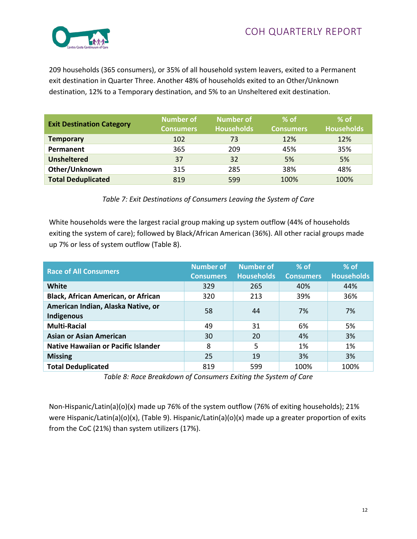

209 households (365 consumers), or 35% of all household system leavers, exited to a Permanent exit destination in Quarter Three. Another 48% of households exited to an Other/Unknown destination, 12% to a Temporary destination, and 5% to an Unsheltered exit destination.

| <b>Exit Destination Category</b> | Number of<br><b>Consumers</b> | Number of<br><b>Households</b> | l% of ⊦<br><b>Consumers</b> | $%$ of<br><b>Households</b> |
|----------------------------------|-------------------------------|--------------------------------|-----------------------------|-----------------------------|
| <b>Temporary</b>                 | 102                           | 73                             | 12%                         | 12%                         |
| Permanent                        | 365                           | 209                            | 45%                         | 35%                         |
| <b>Unsheltered</b>               | 37                            | 32                             | 5%                          | 5%                          |
| Other/Unknown                    | 315                           | 285                            | 38%                         | 48%                         |
| <b>Total Deduplicated</b>        | 819                           | 599                            | 100%                        | 100%                        |

#### *Table 7: Exit Destinations of Consumers Leaving the System of Care*

White households were the largest racial group making up system outflow (44% of households exiting the system of care); followed by Black/African American (36%). All other racial groups made up 7% or less of system outflow (Table 8).

| <b>Race of All Consumers</b>                     | Number of<br><b>Consumers</b> | <b>Number of</b><br><b>Households</b> | $%$ of<br><b>Consumers</b> | $%$ of<br><b>Households</b> |
|--------------------------------------------------|-------------------------------|---------------------------------------|----------------------------|-----------------------------|
| <b>White</b>                                     | 329                           | 265                                   | 40%                        | 44%                         |
| <b>Black, African American, or African</b>       | 320                           | 213                                   | 39%                        | 36%                         |
| American Indian, Alaska Native, or<br>Indigenous | 58                            | 44                                    | 7%                         | 7%                          |
| <b>Multi-Racial</b>                              | 49                            | 31                                    | 6%                         | 5%                          |
| <b>Asian or Asian American</b>                   | 30                            | 20                                    | 4%                         | 3%                          |
| <b>Native Hawaiian or Pacific Islander</b>       | 8                             | 5                                     | 1%                         | 1%                          |
| <b>Missing</b>                                   | 25                            | 19                                    | 3%                         | 3%                          |
| <b>Total Deduplicated</b>                        | 819                           | 599                                   | 100%                       | 100%                        |

*Table 8: Race Breakdown of Consumers Exiting the System of Care*

Non-Hispanic/Latin(a)(o)(x) made up 76% of the system outflow (76% of exiting households); 21% were Hispanic/Latin(a)(o)(x), (Table 9). Hispanic/Latin(a)(o)(x) made up a greater proportion of exits from the CoC (21%) than system utilizers (17%).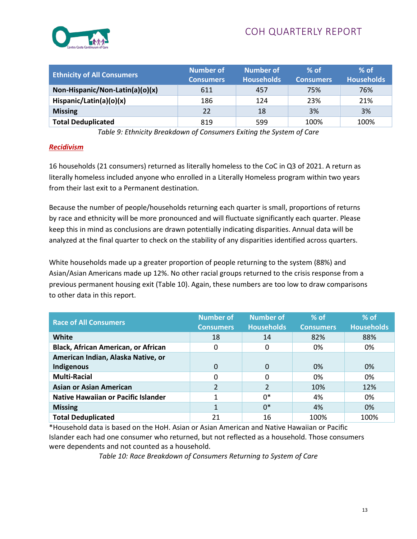

| <b>Ethnicity of All Consumers</b> | Number of<br><b>Consumers</b> | <b>Number of</b><br><b>Households</b> | $%$ of<br><b>Consumers</b> | $%$ of<br>Households <sup>1</sup> |
|-----------------------------------|-------------------------------|---------------------------------------|----------------------------|-----------------------------------|
| Non-Hispanic/Non-Latin(a)(o)(x)   | 611                           | 457                                   | 75%                        | 76%                               |
| Hispanic/Latin(a)(o)(x)           | 186                           | 124                                   | 23%                        | 21%                               |
| <b>Missing</b>                    | 22                            | 18                                    | 3%                         | 3%                                |
| <b>Total Deduplicated</b>         | 819                           | 599                                   | 100%                       | 100%                              |

*Table 9: Ethnicity Breakdown of Consumers Exiting the System of Care*

#### *Recidivism*

16 households (21 consumers) returned as literally homeless to the CoC in Q3 of 2021. A return as literally homeless included anyone who enrolled in a Literally Homeless program within two years from their last exit to a Permanent destination.

Because the number of people/households returning each quarter is small, proportions of returns by race and ethnicity will be more pronounced and will fluctuate significantly each quarter. Please keep this in mind as conclusions are drawn potentially indicating disparities. Annual data will be analyzed at the final quarter to check on the stability of any disparities identified across quarters.

White households made up a greater proportion of people returning to the system (88%) and Asian/Asian Americans made up 12%. No other racial groups returned to the crisis response from a previous permanent housing exit (Table 10). Again, these numbers are too low to draw comparisons to other data in this report.

| <b>Race of All Consumers</b>               | <b>Number of</b><br><b>Consumers</b> | <b>Number of</b><br><b>Households</b> | $%$ of<br><b>Consumers</b> | $%$ of<br><b>Households</b> |
|--------------------------------------------|--------------------------------------|---------------------------------------|----------------------------|-----------------------------|
| White                                      | 18                                   | 14                                    | 82%                        | 88%                         |
| <b>Black, African American, or African</b> | 0                                    | 0                                     | 0%                         | 0%                          |
| American Indian, Alaska Native, or         |                                      |                                       |                            |                             |
| Indigenous                                 | 0                                    | $\Omega$                              | 0%                         | 0%                          |
| <b>Multi-Racial</b>                        | 0                                    | 0                                     | 0%                         | 0%                          |
| <b>Asian or Asian American</b>             |                                      | $\overline{2}$                        | 10%                        | 12%                         |
| <b>Native Hawaiian or Pacific Islander</b> |                                      | $0*$                                  | 4%                         | 0%                          |
| <b>Missing</b>                             |                                      | $0*$                                  | 4%                         | 0%                          |
| <b>Total Deduplicated</b>                  | 21                                   | 16                                    | 100%                       | 100%                        |

\*Household data is based on the HoH. Asian or Asian American and Native Hawaiian or Pacific Islander each had one consumer who returned, but not reflected as a household. Those consumers were dependents and not counted as a household.

*Table 10: Race Breakdown of Consumers Returning to System of Care*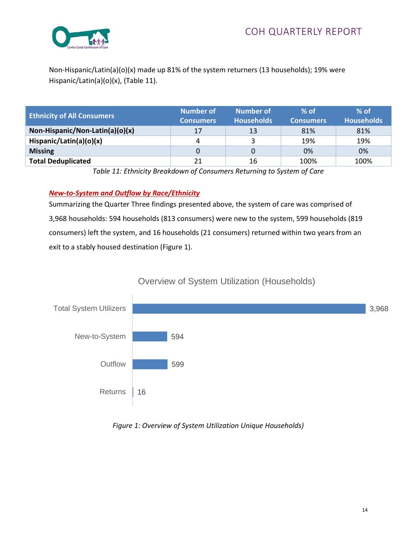

Non-Hispanic/Latin(a)(o)(x) made up 81% of the system returners (13 households); 19% were Hispanic/Latin(a)(o)(x), (Table 11).

| <b>Ethnicity of All Consumers</b> | <b>Number of</b><br><b>Consumers</b> ' | <b>Number of</b><br><b>Households</b> | $%$ of<br><b>Consumers</b> | $%$ of<br><b>Households</b> |
|-----------------------------------|----------------------------------------|---------------------------------------|----------------------------|-----------------------------|
| Non-Hispanic/Non-Latin(a)(o)(x)   | 17                                     | 13                                    | 81%                        | 81%                         |
| Hispanic/Latin(a)(o)(x)           | 4                                      |                                       | 19%                        | 19%                         |
| <b>Missing</b>                    | 0                                      | 0                                     | 0%                         | 0%                          |
| <b>Total Deduplicated</b>         | 21                                     | 16                                    | 100%                       | 100%                        |

*Table 11: Ethnicity Breakdown of Consumers Returning to System of Care*

# *New-to-System and Outflow by Race/Ethnicity*

Summarizing the Quarter Three findings presented above, the system of care was comprised of 3,968 households: 594 households (813 consumers) were new to the system, 599 households (819 consumers) left the system, and 16 households (21 consumers) returned within two years from an exit to a stably housed destination (Figure 1).



# Overview of System Utilization (Households)

#### *Figure 1: Overview of System Utilization Unique Households)*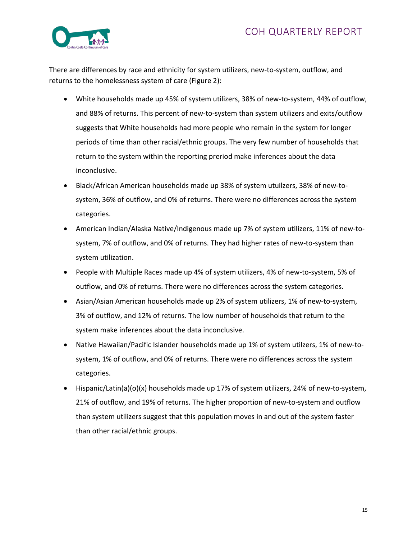# COH QUARTERLY REPORT



There are differences by race and ethnicity for system utilizers, new-to-system, outflow, and returns to the homelessness system of care (Figure 2):

- White households made up 45% of system utilizers, 38% of new-to-system, 44% of outflow, and 88% of returns. This percent of new-to-system than system utilizers and exits/outflow suggests that White households had more people who remain in the system for longer periods of time than other racial/ethnic groups. The very few number of households that return to the system within the reporting preriod make inferences about the data inconclusive.
- Black/African American households made up 38% of system utuilzers, 38% of new-tosystem, 36% of outflow, and 0% of returns. There were no differences across the system categories.
- American Indian/Alaska Native/Indigenous made up 7% of system utilizers, 11% of new-tosystem, 7% of outflow, and 0% of returns. They had higher rates of new-to-system than system utilization.
- People with Multiple Races made up 4% of system utilizers, 4% of new-to-system, 5% of outflow, and 0% of returns. There were no differences across the system categories.
- Asian/Asian American households made up 2% of system utilizers, 1% of new-to-system, 3% of outflow, and 12% of returns. The low number of households that return to the system make inferences about the data inconclusive.
- Native Hawaiian/Pacific Islander households made up 1% of system utilzers, 1% of new-tosystem, 1% of outflow, and 0% of returns. There were no differences across the system categories.
- Hispanic/Latin(a)(o)(x) households made up 17% of system utilizers, 24% of new-to-system, 21% of outflow, and 19% of returns. The higher proportion of new-to-system and outflow than system utilizers suggest that this population moves in and out of the system faster than other racial/ethnic groups.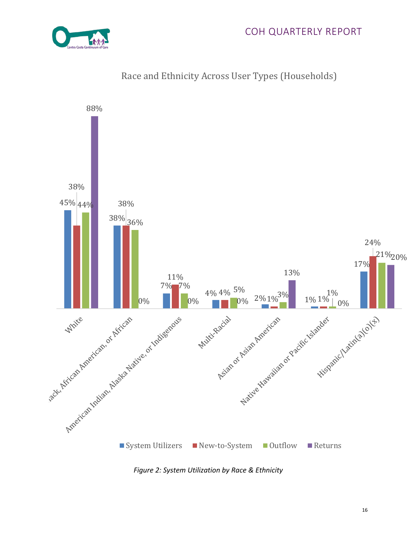



# Race and Ethnicity Across User Types (Households)

*Figure 2: System Utilization by Race & Ethnicity*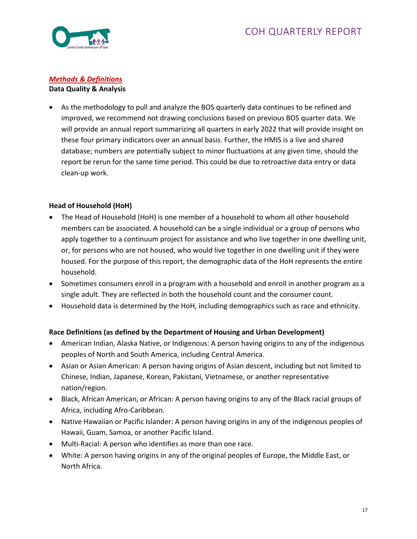

#### *Methods & Definitions* **Data Quality & Analysis**

• As the methodology to pull and analyze the BOS quarterly data continues to be refined and improved, we recommend not drawing conclusions based on previous BOS quarter data. We will provide an annual report summarizing all quarters in early 2022 that will provide insight on these four primary indicators over an annual basis. Further, the HMIS is a live and shared database; numbers are potentially subject to minor fluctuations at any given time, should the report be rerun for the same time period. This could be due to retroactive data entry or data clean-up work.

# **Head of Household (HoH)**

- The Head of Household (HoH) is one member of a household to whom all other household members can be associated. A household can be a single individual or a group of persons who apply together to a continuum project for assistance and who live together in one dwelling unit, or, for persons who are not housed, who would live together in one dwelling unit if they were housed. For the purpose of this report, the demographic data of the HoH represents the entire household.
- Sometimes consumers enroll in a program with a household and enroll in another program as a single adult. They are reflected in both the household count and the consumer count.
- Household data is determined by the HoH, including demographics such as race and ethnicity.

# **Race Definitions (as defined by the Department of Housing and Urban Development)**

- American Indian, Alaska Native, or Indigenous: A person having origins to any of the indigenous peoples of North and South America, including Central America.
- Asian or Asian American: A person having origins of Asian descent, including but not limited to Chinese, Indian, Japanese, Korean, Pakistani, Vietnamese, or another representative nation/region.
- Black, African American, or African: A person having origins to any of the Black racial groups of Africa, including Afro-Caribbean.
- Native Hawaiian or Pacific Islander: A person having origins in any of the indigenous peoples of Hawaii, Guam, Samoa, or another Pacific Island.
- Multi-Racial: A person who identifies as more than one race.
- White: A person having origins in any of the original peoples of Europe, the Middle East, or North Africa.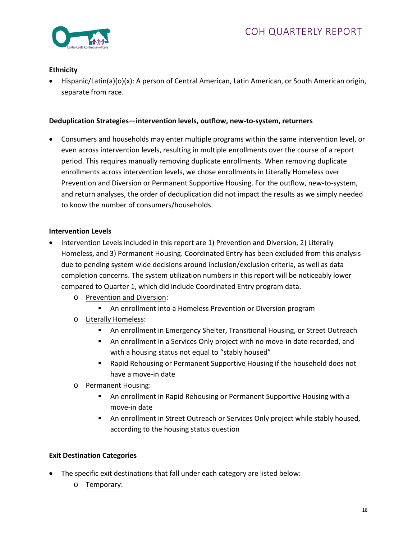

#### **Ethnicity**

• Hispanic/Latin(a)(o)(x): A person of Central American, Latin American, or South American origin, separate from race.

#### **Deduplication Strategies—intervention levels, outflow, new-to-system, returners**

• Consumers and households may enter multiple programs within the same intervention level, or even across intervention levels, resulting in multiple enrollments over the course of a report period. This requires manually removing duplicate enrollments. When removing duplicate enrollments across intervention levels, we chose enrollments in Literally Homeless over Prevention and Diversion or Permanent Supportive Housing. For the outflow, new-to-system, and return analyses, the order of deduplication did not impact the results as we simply needed to know the number of consumers/households.

#### **Intervention Levels**

- Intervention Levels included in this report are 1) Prevention and Diversion, 2) Literally Homeless, and 3) Permanent Housing. Coordinated Entry has been excluded from this analysis due to pending system wide decisions around inclusion/exclusion criteria, as well as data completion concerns. The system utilization numbers in this report will be noticeably lower compared to Quarter 1, which did include Coordinated Entry program data.
	- o Prevention and Diversion:
		- An enrollment into a Homeless Prevention or Diversion program
	- o Literally Homeless:
		- An enrollment in Emergency Shelter, Transitional Housing, or Street Outreach
		- An enrollment in a Services Only project with no move-in date recorded, and with a housing status not equal to "stably housed"
		- Rapid Rehousing or Permanent Supportive Housing if the household does not have a move-in date
	- o Permanent Housing:
		- An enrollment in Rapid Rehousing or Permanent Supportive Housing with a move-in date
		- An enrollment in Street Outreach or Services Only project while stably housed, according to the housing status question

#### **Exit Destination Categories**

- The specific exit destinations that fall under each category are listed below:
	- o Temporary: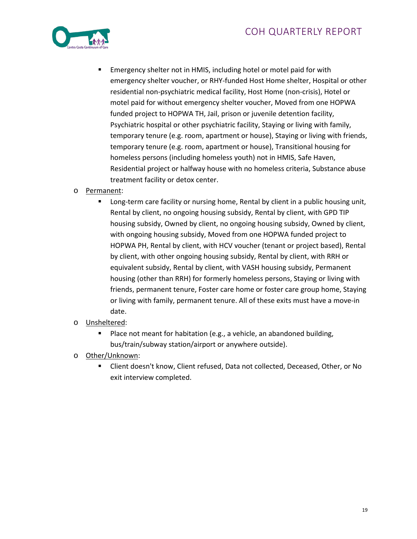

- **EXECT** Emergency shelter not in HMIS, including hotel or motel paid for with emergency shelter voucher, or RHY-funded Host Home shelter, Hospital or other residential non-psychiatric medical facility, Host Home (non-crisis), Hotel or motel paid for without emergency shelter voucher, Moved from one HOPWA funded project to HOPWA TH, Jail, prison or juvenile detention facility, Psychiatric hospital or other psychiatric facility, Staying or living with family, temporary tenure (e.g. room, apartment or house), Staying or living with friends, temporary tenure (e.g. room, apartment or house), Transitional housing for homeless persons (including homeless youth) not in HMIS, Safe Haven, Residential project or halfway house with no homeless criteria, Substance abuse treatment facility or detox center.
- o Permanent:
	- Long-term care facility or nursing home, Rental by client in a public housing unit, Rental by client, no ongoing housing subsidy, Rental by client, with GPD TIP housing subsidy, Owned by client, no ongoing housing subsidy, Owned by client, with ongoing housing subsidy, Moved from one HOPWA funded project to HOPWA PH, Rental by client, with HCV voucher (tenant or project based), Rental by client, with other ongoing housing subsidy, Rental by client, with RRH or equivalent subsidy, Rental by client, with VASH housing subsidy, Permanent housing (other than RRH) for formerly homeless persons, Staying or living with friends, permanent tenure, Foster care home or foster care group home, Staying or living with family, permanent tenure. All of these exits must have a move-in date.
- o Unsheltered:
	- Place not meant for habitation (e.g., a vehicle, an abandoned building, bus/train/subway station/airport or anywhere outside).
- o Other/Unknown:
	- Client doesn't know, Client refused, Data not collected, Deceased, Other, or No exit interview completed.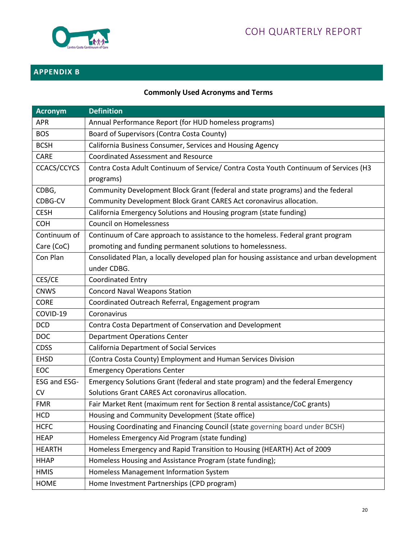

# **APPENDIX B**

# **Commonly Used Acronyms and Terms**

| <b>Acronym</b> | <b>Definition</b>                                                                        |
|----------------|------------------------------------------------------------------------------------------|
| <b>APR</b>     | Annual Performance Report (for HUD homeless programs)                                    |
| <b>BOS</b>     | Board of Supervisors (Contra Costa County)                                               |
| <b>BCSH</b>    | California Business Consumer, Services and Housing Agency                                |
| CARE           | <b>Coordinated Assessment and Resource</b>                                               |
| CCACS/CCYCS    | Contra Costa Adult Continuum of Service/ Contra Costa Youth Continuum of Services (H3    |
|                | programs)                                                                                |
| CDBG,          | Community Development Block Grant (federal and state programs) and the federal           |
| CDBG-CV        | Community Development Block Grant CARES Act coronavirus allocation.                      |
| <b>CESH</b>    | California Emergency Solutions and Housing program (state funding)                       |
| <b>COH</b>     | <b>Council on Homelessness</b>                                                           |
| Continuum of   | Continuum of Care approach to assistance to the homeless. Federal grant program          |
| Care (CoC)     | promoting and funding permanent solutions to homelessness.                               |
| Con Plan       | Consolidated Plan, a locally developed plan for housing assistance and urban development |
|                | under CDBG.                                                                              |
| CES/CE         | <b>Coordinated Entry</b>                                                                 |
| <b>CNWS</b>    | <b>Concord Naval Weapons Station</b>                                                     |
| <b>CORE</b>    | Coordinated Outreach Referral, Engagement program                                        |
| COVID-19       | Coronavirus                                                                              |
| <b>DCD</b>     | Contra Costa Department of Conservation and Development                                  |
| <b>DOC</b>     | <b>Department Operations Center</b>                                                      |
| <b>CDSS</b>    | <b>California Department of Social Services</b>                                          |
| <b>EHSD</b>    | (Contra Costa County) Employment and Human Services Division                             |
| <b>EOC</b>     | <b>Emergency Operations Center</b>                                                       |
| ESG and ESG-   | Emergency Solutions Grant (federal and state program) and the federal Emergency          |
| <b>CV</b>      | Solutions Grant CARES Act coronavirus allocation.                                        |
| <b>FMR</b>     | Fair Market Rent (maximum rent for Section 8 rental assistance/CoC grants)               |
| <b>HCD</b>     | Housing and Community Development (State office)                                         |
| <b>HCFC</b>    | Housing Coordinating and Financing Council (state governing board under BCSH)            |
| <b>HEAP</b>    | Homeless Emergency Aid Program (state funding)                                           |
| <b>HEARTH</b>  | Homeless Emergency and Rapid Transition to Housing (HEARTH) Act of 2009                  |
| <b>HHAP</b>    | Homeless Housing and Assistance Program (state funding);                                 |
| <b>HMIS</b>    | Homeless Management Information System                                                   |
| <b>HOME</b>    | Home Investment Partnerships (CPD program)                                               |